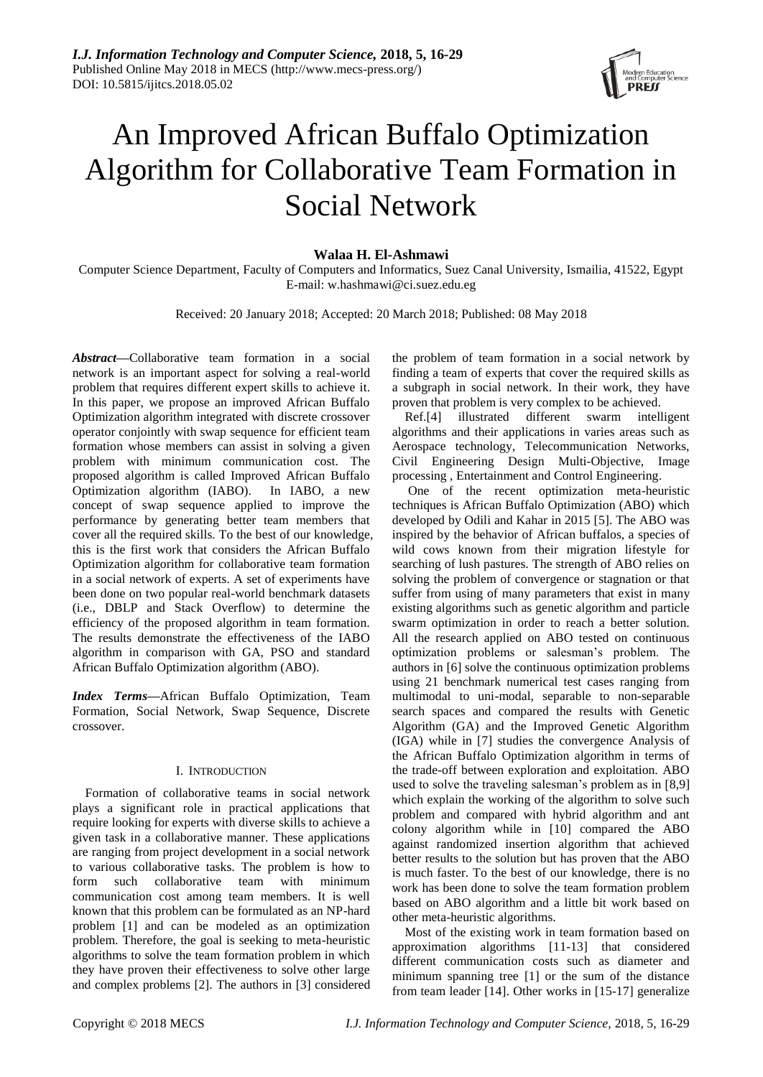

# An Improved African Buffalo Optimization Algorithm for Collaborative Team Formation in Social Network

# **Walaa H. El-Ashmawi**

Computer Science Department, Faculty of Computers and Informatics, Suez Canal University, Ismailia, 41522, Egypt E-mail: w.hashmawi@ci.suez.edu.eg

Received: 20 January 2018; Accepted: 20 March 2018; Published: 08 May 2018

*Abstract***—**Collaborative team formation in a social network is an important aspect for solving a real-world problem that requires different expert skills to achieve it. In this paper, we propose an improved African Buffalo Optimization algorithm integrated with discrete crossover operator conjointly with swap sequence for efficient team formation whose members can assist in solving a given problem with minimum communication cost. The proposed algorithm is called Improved African Buffalo Optimization algorithm (IABO). In IABO, a new concept of swap sequence applied to improve the performance by generating better team members that cover all the required skills. To the best of our knowledge, this is the first work that considers the African Buffalo Optimization algorithm for collaborative team formation in a social network of experts. A set of experiments have been done on two popular real-world benchmark datasets (i.e., DBLP and Stack Overflow) to determine the efficiency of the proposed algorithm in team formation. The results demonstrate the effectiveness of the IABO algorithm in comparison with GA, PSO and standard African Buffalo Optimization algorithm (ABO).

*Index Terms***—**African Buffalo Optimization, Team Formation, Social Network, Swap Sequence, Discrete crossover.

# I. INTRODUCTION

Formation of collaborative teams in social network plays a significant role in practical applications that require looking for experts with diverse skills to achieve a given task in a collaborative manner. These applications are ranging from project development in a social network to various collaborative tasks. The problem is how to form such collaborative team with minimum communication cost among team members. It is well known that this problem can be formulated as an NP-hard problem [1] and can be modeled as an optimization problem. Therefore, the goal is seeking to meta-heuristic algorithms to solve the team formation problem in which they have proven their effectiveness to solve other large and complex problems [2]. The authors in [3] considered the problem of team formation in a social network by finding a team of experts that cover the required skills as a subgraph in social network. In their work, they have proven that problem is very complex to be achieved.

Ref.[4] illustrated different swarm intelligent algorithms and their applications in varies areas such as Aerospace technology, Telecommunication Networks, Civil Engineering Design Multi-Objective, Image processing , Entertainment and Control Engineering.

One of the recent optimization meta-heuristic techniques is African Buffalo Optimization (ABO) which developed by Odili and Kahar in 2015 [5]. The ABO was inspired by the behavior of African buffalos, a species of wild cows known from their migration lifestyle for searching of lush pastures. The strength of ABO relies on solving the problem of convergence or stagnation or that suffer from using of many parameters that exist in many existing algorithms such as genetic algorithm and particle swarm optimization in order to reach a better solution. All the research applied on ABO tested on continuous optimization problems or salesman's problem. The authors in [6] solve the continuous optimization problems using 21 benchmark numerical test cases ranging from multimodal to uni-modal, separable to non-separable search spaces and compared the results with Genetic Algorithm (GA) and the Improved Genetic Algorithm (IGA) while in [7] studies the convergence Analysis of the African Buffalo Optimization algorithm in terms of the trade-off between exploration and exploitation. ABO used to solve the traveling salesman's problem as in [8,9] which explain the working of the algorithm to solve such problem and compared with hybrid algorithm and ant colony algorithm while in [10] compared the ABO against randomized insertion algorithm that achieved better results to the solution but has proven that the ABO is much faster. To the best of our knowledge, there is no work has been done to solve the team formation problem based on ABO algorithm and a little bit work based on other meta-heuristic algorithms.

Most of the existing work in team formation based on approximation algorithms [11-13] that considered different communication costs such as diameter and minimum spanning tree [1] or the sum of the distance from team leader [14]. Other works in [15-17] generalize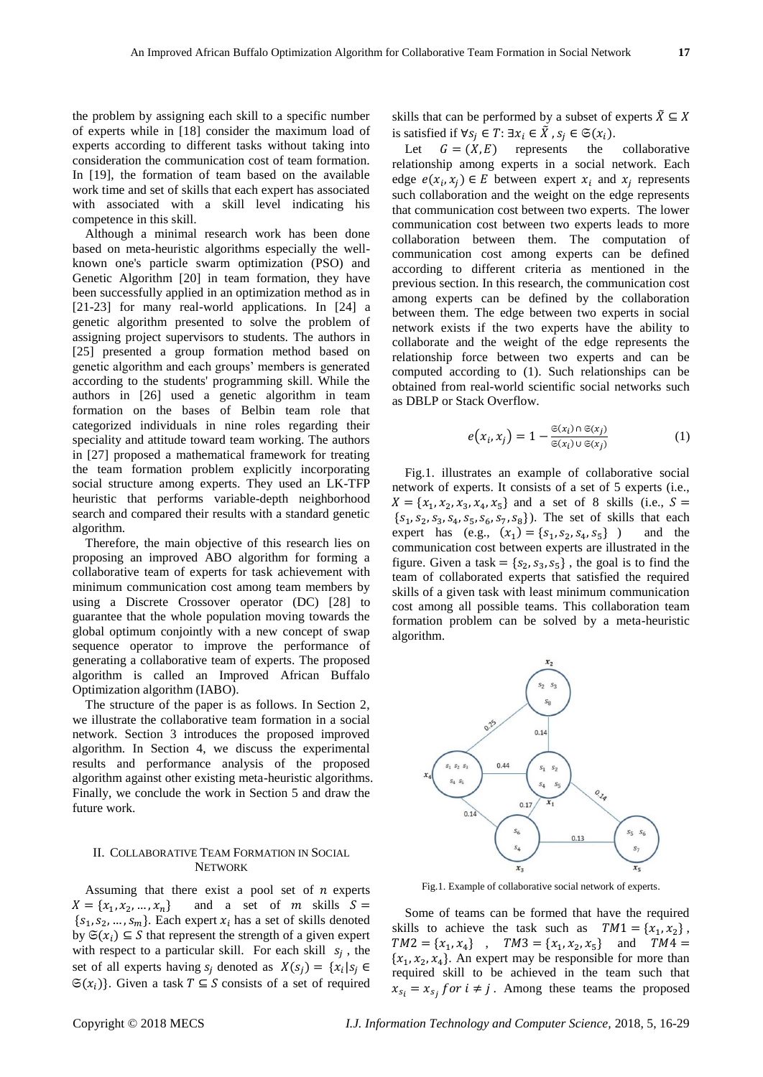the problem by assigning each skill to a specific number of experts while in [18] consider the maximum load of experts according to different tasks without taking into consideration the communication cost of team formation. In [19], the formation of team based on the available work time and set of skills that each expert has associated with associated with a skill level indicating his competence in this skill.

Although a minimal research work has been done based on meta-heuristic algorithms especially the wellknown one's particle swarm optimization (PSO) and Genetic Algorithm [20] in team formation, they have been successfully applied in an optimization method as in [21-23] for many real-world applications. In [24] a genetic algorithm presented to solve the problem of assigning project supervisors to students. The authors in [25] presented a group formation method based on genetic algorithm and each groups' members is generated according to the students' programming skill. While the authors in [26] used a genetic algorithm in team formation on the bases of Belbin team role that categorized individuals in nine roles regarding their speciality and attitude toward team working. The authors in [27] proposed a mathematical framework for treating the team formation problem explicitly incorporating social structure among experts. They used an LK-TFP heuristic that performs variable-depth neighborhood search and compared their results with a standard genetic algorithm.

Therefore, the main objective of this research lies on proposing an improved ABO algorithm for forming a collaborative team of experts for task achievement with minimum communication cost among team members by using a Discrete Crossover operator (DC) [28] to guarantee that the whole population moving towards the global optimum conjointly with a new concept of swap sequence operator to improve the performance of generating a collaborative team of experts. The proposed algorithm is called an Improved African Buffalo Optimization algorithm (IABO).

The structure of the paper is as follows. In Section 2, we illustrate the collaborative team formation in a social network. Section 3 introduces the proposed improved algorithm. In Section 4, we discuss the experimental results and performance analysis of the proposed algorithm against other existing meta-heuristic algorithms. Finally, we conclude the work in Section 5 and draw the future work.

# II. COLLABORATIVE TEAM FORMATION IN SOCIAL NETWORK

Assuming that there exist a pool set of  $n$  experts  $X = \{x_1, x_2\}$ and a set of  $m$  skills  $S =$  $\{s_1, s_2, ..., s_m\}$ . Each expert  $x_i$  has a set of skills denoted by  $\mathfrak{S}(x_i) \subseteq S$  that represent the strength of a given expert with respect to a particular skill. For each skill  $s_j$ , the set of all experts having  $s_j$  denoted as  $X(s_j) = \{x_i | s_j \in$  $\mathfrak{S}(x_i)$ . Given a task  $T \subseteq S$  consists of a set of required

skills that can be performed by a subset of experts  $\tilde{X} \subseteq X$ is satisfied if  $\forall s_i \in T: \exists x_i \in \tilde{X}$ ,  $s_i \in \mathfrak{S}(x_i)$ .

Let  $G = (X, E)$  represents the collaborative relationship among experts in a social network. Each edge  $e(x_i, x_j) \in E$  between expert  $x_i$  and  $x_j$  represents such collaboration and the weight on the edge represents that communication cost between two experts. The lower communication cost between two experts leads to more collaboration between them. The computation of communication cost among experts can be defined according to different criteria as mentioned in the previous section. In this research, the communication cost among experts can be defined by the collaboration between them. The edge between two experts in social network exists if the two experts have the ability to collaborate and the weight of the edge represents the relationship force between two experts and can be computed according to (1). Such relationships can be obtained from real-world scientific social networks such as DBLP or Stack Overflow.

$$
e(x_i, x_j) = 1 - \frac{\mathfrak{S}(x_i) \cap \mathfrak{S}(x_j)}{\mathfrak{S}(x_i) \cup \mathfrak{S}(x_j)}
$$
(1)

Fig.1. illustrates an example of collaborative social network of experts. It consists of a set of 5 experts (i.e.,  $X = \{x_1, x_2, x_3, x_4, x_5\}$  and a set of 8 skills (i.e.,  $S =$  $\{s_1, s_2, s_3, s_4, s_5, s_6, s_7, s_8\}$ ). The set of skills that each expert has  $(e.g., (x_1) = \{s_1, s_2, s_4, s_5\})$ and the communication cost between experts are illustrated in the figure. Given a task =  $\{s_2, s_3, s_5\}$ , the goal is to find the team of collaborated experts that satisfied the required skills of a given task with least minimum communication cost among all possible teams. This collaboration team formation problem can be solved by a meta-heuristic algorithm.



Fig.1. Example of collaborative social network of experts.

Some of teams can be formed that have the required skills to achieve the task such as  $TM1 = {x_1, x_2}$ ,  $TM2 = \{x_1, x_4\}$ ,  $TM3 = \{x_1, x_2, x_5\}$  and  $TM4 =$  $\{x_1, x_2, x_4\}$ . An expert may be responsible for more than required skill to be achieved in the team such that  $x_{s_i} = x_{s_i}$  for  $i \neq j$ . Among these teams the proposed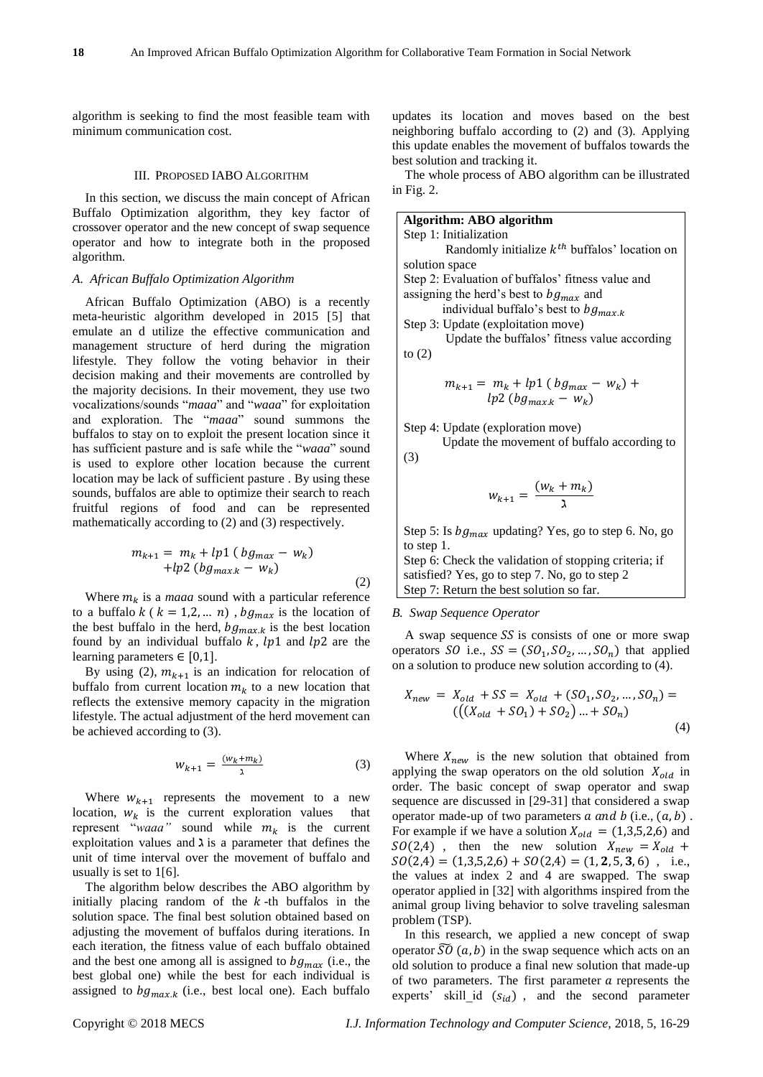algorithm is seeking to find the most feasible team with minimum communication cost.

#### III. PROPOSED IABO ALGORITHM

In this section, we discuss the main concept of African Buffalo Optimization algorithm, they key factor of crossover operator and the new concept of swap sequence operator and how to integrate both in the proposed algorithm.

## *A. African Buffalo Optimization Algorithm*

African Buffalo Optimization (ABO) is a recently meta-heuristic algorithm developed in 2015 [5] that emulate an d utilize the effective communication and management structure of herd during the migration lifestyle. They follow the voting behavior in their decision making and their movements are controlled by the majority decisions. In their movement, they use two vocalizations/sounds "*maaa*" and "*waaa*" for exploitation and exploration. The "*maaa*" sound summons the buffalos to stay on to exploit the present location since it has sufficient pasture and is safe while the "*waaa*" sound is used to explore other location because the current location may be lack of sufficient pasture . By using these sounds, buffalos are able to optimize their search to reach fruitful regions of food and can be represented mathematically according to (2) and (3) respectively.

$$
m_{k+1} = m_k + lp1 (bg_{max} - w_k) + lp2 (bg_{max.k} - w_k)
$$
\n(2)

Where  $m_k$  is a *maaa* sound with a particular reference to a buffalo  $k$  ( $k = 1,2,...,n$ ),  $bg_{max}$  is the location of the best buffalo in the herd,  $bg_{max,k}$  is the best location found by an individual buffalo  $k$ ,  $lp1$  and  $lp2$  are the learning parameters  $\in$  [0,1].

By using (2),  $m_{k+1}$  is an indication for relocation of buffalo from current location  $m_k$  to a new location that reflects the extensive memory capacity in the migration lifestyle. The actual adjustment of the herd movement can be achieved according to (3).

$$
w_{k+1} = \frac{(w_k + m_k)}{\lambda} \tag{3}
$$

Where  $w_{k+1}$  represents the movement to a new location,  $W_k$  is the current exploration values that represent "*waaa*" sound while  $m_k$  is the current exploitation values and  $\lambda$  is a parameter that defines the unit of time interval over the movement of buffalo and usually is set to 1[6].

The algorithm below describes the ABO algorithm by initially placing random of the  $k$ -th buffalos in the solution space. The final best solution obtained based on adjusting the movement of buffalos during iterations. In each iteration, the fitness value of each buffalo obtained and the best one among all is assigned to  $b g_{max}$  (i.e., the best global one) while the best for each individual is assigned to  $bg_{max,k}$  (i.e., best local one). Each buffalo

updates its location and moves based on the best neighboring buffalo according to (2) and (3). Applying this update enables the movement of buffalos towards the best solution and tracking it.

The whole process of ABO algorithm can be illustrated in Fig. 2.

| Algorithm: ABO algorithm                           |
|----------------------------------------------------|
| Step 1: Initialization                             |
| Randomly initialize $k^{th}$ buffalos' location on |
| solution space                                     |
| Step 2: Evaluation of buffalos' fitness value and  |
| assigning the herd's best to $bg_{max}$ and        |
| individual buffalo's best to $bg_{max,k}$          |
| Step 3: Update (exploitation move)                 |
| Update the buffalos' fitness value according       |
| to $(2)$                                           |
|                                                    |
|                                                    |

$$
m_{k+1} = m_k + lp1 (bg_{max} - w_k) +
$$
  

$$
lp2 (bg_{max,k} - w_k)
$$

Step 4: Update (exploration move)

 Update the movement of buffalo according to (3)

$$
w_{k+1} = \frac{(w_k + m_k)}{\lambda}
$$

Step 5: Is  $bg_{max}$  updating? Yes, go to step 6. No, go to step 1. Step 6: Check the validation of stopping criteria; if satisfied? Yes, go to step 7. No, go to step 2 Step 7: Return the best solution so far.

#### *B. Swap Sequence Operator*

A swap sequence  $SS$  is consists of one or more swap operators *SO* i.e.,  $SS = (SO_1, SO_2, ..., SO_n)$  that applied on a solution to produce new solution according to (4).

$$
X_{new} = X_{old} + SS = X_{old} + (SO_1, SO_2, ..., SO_n) =
$$
  

$$
(((X_{old} + SO_1) + SO_2) ... + SO_n)
$$
  
(4)

Where  $X_{new}$  is the new solution that obtained from applying the swap operators on the old solution  $X_{old}$  in order. The basic concept of swap operator and swap sequence are discussed in [29-31] that considered a swap operator made-up of two parameters  $a$  and  $b$  (i.e.,  $(a, b)$ ). For example if we have a solution  $X_{old} = (1,3,5,2,6)$  and  $SO(2,4)$ , then the new solution  $X_{new} = X_{old} +$  $SO(2,4) = (1,3,5,2,6) + SO(2,4) = (1,2,5,3,6)$ , i.e., the values at index 2 and 4 are swapped. The swap operator applied in [32] with algorithms inspired from the animal group living behavior to solve traveling salesman problem (TSP).

In this research, we applied a new concept of swap operator  $\overline{SO}(a, b)$  in the swap sequence which acts on an old solution to produce a final new solution that made-up of two parameters. The first parameter  $a$  represents the experts' skill\_id  $(s_{id})$ , and the second parameter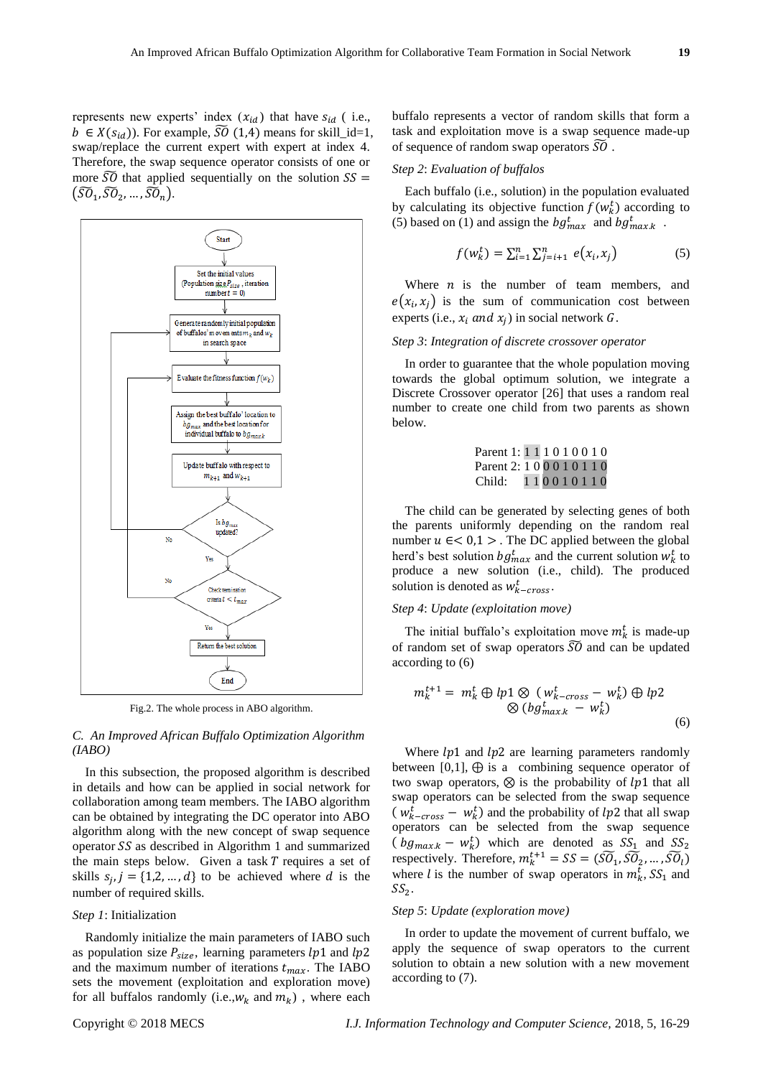

Fig.2. The whole process in ABO algorithm.

# *C. An Improved African Buffalo Optimization Algorithm (IABO)*

In this subsection, the proposed algorithm is described in details and how can be applied in social network for collaboration among team members. The IABO algorithm can be obtained by integrating the DC operator into ABO algorithm along with the new concept of swap sequence operator  $SS$  as described in Algorithm 1 and summarized the main steps below. Given a task  $T$  requires a set of skills  $s_j$ ,  $j = \{1,2,...,d\}$  to be achieved where d is the number of required skills.

#### *Step 1*: Initialization

Randomly initialize the main parameters of IABO such as population size  $P_{size}$ , learning parameters  $lp1$  and  $lp2$ and the maximum number of iterations  $t_{max}$ . The IABO sets the movement (exploitation and exploration move) for all buffalos randomly (i.e.,  $w_k$  and  $m_k$ ), where each buffalo represents a vector of random skills that form a task and exploitation move is a swap sequence made-up of sequence of random swap operators  $\widetilde{SO}$ .

# *Step 2*: *Evaluation of buffalos*

Each buffalo (i.e., solution) in the population evaluated by calculating its objective function  $f(w_k^t)$  according to (5) based on (1) and assign the  $bg_{max}^t$  and  $bg_{max,k}^t$ .

$$
f(w_k^t) = \sum_{i=1}^n \sum_{j=i+1}^n e(x_i, x_j)
$$
 (5)

Where  $n$  is the number of team members, and  $e(x_i, x_j)$  is the sum of communication cost between experts (i.e.,  $x_i$  and  $x_j$ ) in social network G.

## *Step 3*: *Integration of discrete crossover operator*

In order to guarantee that the whole population moving towards the global optimum solution, we integrate a Discrete Crossover operator [26] that uses a random real number to create one child from two parents as shown below.

| Parent 1: 1 1 1 0 1 0 0 1 0 |  |  |  |  |           |
|-----------------------------|--|--|--|--|-----------|
| Parent 2: 1 0 0 0 1 0 1 1 0 |  |  |  |  |           |
| Child:                      |  |  |  |  | 110010110 |

The child can be generated by selecting genes of both the parents uniformly depending on the random real number  $u \in < 0,1>$ . The DC applied between the global herd's best solution  $bg_{max}^t$  and the current solution  $w_k^t$  to produce a new solution (i.e., child). The produced solution is denoted as  $w_{k-cross}^t$ .

### *Step 4*: *Update (exploitation move)*

The initial buffalo's exploitation move  $m_k^t$  is made-up of random set of swap operators  $\widetilde{SO}$  and can be updated according to (6)

$$
m_k^{t+1} = m_k^t \oplus lp1 \otimes (w_{k-cross}^t - w_k^t) \oplus lp2
$$
  
 
$$
\otimes (bg_{max.k}^t - w_k^t)
$$
 (6)

Where  $lp1$  and  $lp2$  are learning parameters randomly between [0,1],  $\oplus$  is a combining sequence operator of two swap operators,  $\otimes$  is the probability of  $lp1$  that all swap operators can be selected from the swap sequence  $(w_{k-cross}^t - w_k^t)$  and the probability of lp2 that all swap operators can be selected from the swap sequence  $\left(\frac{b g_{max,k} - w_k^t}{\sigma}\right)$  which are denoted as  $SS_1$  and  $SS_2$ respectively. Therefore,  $m_k^{t+1} = SS = (\widetilde{SO}_1, \widetilde{SO}_2, ..., \widetilde{SO}_l)$ where *l* is the number of swap operators in  $m_k^t$ ,  $SS_1$  and  $SS_2$  .

#### *Step 5*: *Update (exploration move)*

In order to update the movement of current buffalo, we apply the sequence of swap operators to the current solution to obtain a new solution with a new movement according to (7).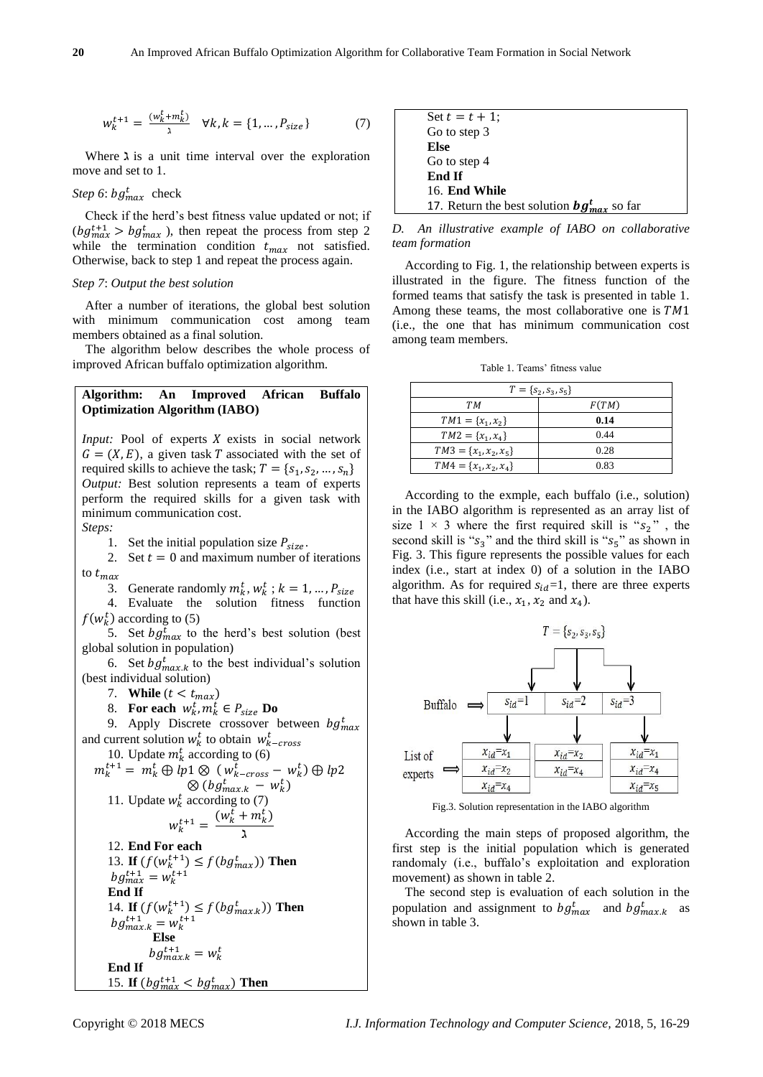$$
w_k^{t+1} = \frac{(w_k^t + m_k^t)}{2} \quad \forall k, k = \{1, ..., P_{size}\}
$$
 (7)

Where  $\lambda$  is a unit time interval over the exploration move and set to 1.

*Step 6:*  $bg_{max}^t$  check

Check if the herd's best fitness value updated or not; if  $(bg_{max}^{t+1} > bg_{max}^t)$ , then repeat the process from step 2 while the termination condition  $t_{max}$  not satisfied. Otherwise, back to step 1 and repeat the process again.

#### *Step 7*: *Output the best solution*

After a number of iterations, the global best solution with minimum communication cost among team members obtained as a final solution.

The algorithm below describes the whole process of improved African buffalo optimization algorithm.

# **Algorithm: An Improved African Buffalo Optimization Algorithm (IABO)**

*Input:* Pool of experts *X* exists in social network  $G = (X, E)$ , a given task T associated with the set of required skills to achieve the task;  $T = \{s_1, s_2, ..., s_n\}$ *Output:* Best solution represents a team of experts perform the required skills for a given task with minimum communication cost.

*Steps:* 

1. Set the initial population size  $P_{size}$ .

2. Set  $t = 0$  and maximum number of iterations to  $t_{max}$ 

3. Generate randomly  $m_k^t$ ,  $w_k^t$ ;  $k = 1, ..., P_{size}$ 

4. Evaluate the solution fitness function  $f(w_k^t)$  according to (5)

5. Set  $bg_{max}^t$  to the herd's best solution (best global solution in population)

6. Set  $bg_{max,k}^{t}$  to the best individual's solution (best individual solution)

7. **While**  $(t < t_{max})$ 

8. **For each**  $w_k^t$ ,  $m_k^t \in P_{size}$  **Do** 

9. Apply Discrete crossover between  $bg_{max}^t$ and current solution  $w_k^t$  to obtain  $w_{k-cross}^t$  $10.$  Undata

10. Update 
$$
m_k^t
$$
 according to (6)  
\n $m_k^{t+1} = m_k^t \oplus lp1 \otimes (w_{k-cross}^t - w_k^t) \oplus lp2$   
\n $\otimes (bg_{max.k}^t - w_k^t)$   
\n11. Update  $w_k^t$  according to (7)  
\n $w_k^{t+1} = \frac{(w_k^t + m_k^t)}{\lambda}$   
\n12. End For each

13. **If**  $(f(w_k^{t+1}) \leq f(bg_{max}^t))$  Then  $bg_{max}^{t+1} = w_k^{t+1}$ **End If** 14. **If**  $(f(w_k^{t+1}) \leq f(bg_{max.k}^t))$  Then  $bg_{max.k}^{t+1} = w_k^{t+1}$  **Else**  $bg_{max.k}^{t+1} = w_k^t$ **End If** 15. **If**  $(bg_{max}^{t+1} < bg_{max}^t)$  Then

| Set $t = t + 1$ ;                                |
|--------------------------------------------------|
| Go to step 3                                     |
| Else                                             |
| Go to step 4                                     |
| End If                                           |
| 16. End While                                    |
| 17. Return the best solution $bg_{max}^t$ so far |

*D. An illustrative example of IABO on collaborative team formation*

According to Fig. 1, the relationship between experts is illustrated in the figure. The fitness function of the formed teams that satisfy the task is presented in table 1. Among these teams, the most collaborative one is  $TM1$ (i.e., the one that has minimum communication cost among team members.

Table 1. Teams' fitness value

| $T = \{s_2, s_3, s_5\}$   |       |  |  |  |
|---------------------------|-------|--|--|--|
| TМ                        | F(TM) |  |  |  |
| $TM1 = \{x_1, x_2\}$      | 0.14  |  |  |  |
| $TM2 = \{x_1, x_4\}$      | 0.44  |  |  |  |
| $TM3 = \{x_1, x_2, x_5\}$ | 0.28  |  |  |  |
| $TM4 = \{x_1, x_2, x_4\}$ | 0.83  |  |  |  |

According to the exmple, each buffalo (i.e., solution) in the IABO algorithm is represented as an array list of size  $1 \times 3$  where the first required skill is " $s_2$ ", the second skill is " $s_3$ " and the third skill is " $s_5$ " as shown in Fig. 3. This figure represents the possible values for each index (i.e., start at index 0) of a solution in the IABO algorithm. As for required  $s_{id}=1$ , there are three experts that have this skill (i.e.,  $x_1$ ,  $x_2$  and  $x_4$ ).



Fig.3. Solution representation in the IABO algorithm

According the main steps of proposed algorithm, the first step is the initial population which is generated randomaly (i.e., buffalo's exploitation and exploration movement) as shown in table 2.

The second step is evaluation of each solution in the population and assignment to  $bg_{max}^t$  and  $bg_{max,k}^t$  as shown in table 3.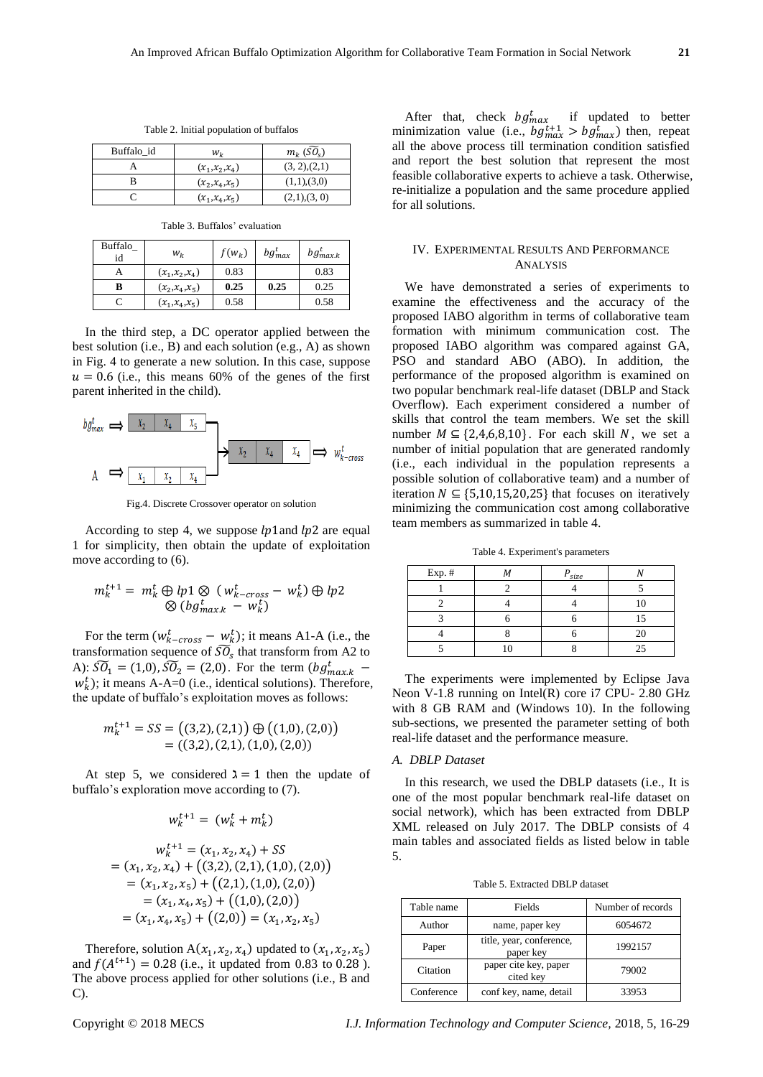| Buffalo id | Wı                | $m_k$ (SO <sub>s</sub> ) |
|------------|-------------------|--------------------------|
|            | $(x_1,x_2,x_4)$   | (3, 2), (2, 1)           |
|            | $(x_2, x_4, x_5)$ | (1,1),(3,0)              |
|            | $(x_1,x_4,x_5)$   | (2,1),(3,0)              |

Table 2. Initial population of buffalos

Table 3. Buffalos' evaluation

| Buffalo<br>id | $W_k$             | $f(w_k)$ | $bg_{max}^t$ | $bg_{max,k}^t$ |
|---------------|-------------------|----------|--------------|----------------|
|               | $(x_1,x_2,x_4)$   | 0.83     |              | 0.83           |
| в             | $(x_2, x_4, x_5)$ | 0.25     | 0.25         | 0.25           |
|               | $(x_1, x_4, x_5)$ | 0.58     |              | 0.58           |

In the third step, a DC operator applied between the best solution (i.e., B) and each solution (e.g., A) as shown in Fig. 4 to generate a new solution. In this case, suppose  $u = 0.6$  (i.e., this means 60% of the genes of the first parent inherited in the child).



Fig.4. Discrete Crossover operator on solution

According to step 4, we suppose  $lp1$  and  $lp2$  are equal 1 for simplicity, then obtain the update of exploitation move according to (6).

$$
m_k^{t+1} = m_k^t \oplus lp1 \otimes (w_{k-cross}^t - w_k^t) \oplus lp2
$$
  
 
$$
\otimes (bg_{max.k}^t - w_k^t)
$$

For the term  $(w_{k-cross}^t - w_k^t)$ ; it means A1-A (i.e., the transformation sequence of  $\widetilde{SO}_s$  that transform from A2 to A):  $\widetilde{SO}_1 = (1,0), \widetilde{SO}_2 = (2,0)$ . For the term  $(bg_{max,k}^t$  $w_k^t$ ); it means A-A=0 (i.e., identical solutions). Therefore, the update of buffalo's exploitation moves as follows:

$$
m_k^{t+1} = SS = ((3,2), (2,1)) \oplus ((1,0), (2,0))
$$
  
= ((3,2), (2,1), (1,0), (2,0))

At step 5, we considered  $\lambda = 1$  then the update of buffalo's exploration move according to (7).

$$
w_k^{t+1} = (w_k^t + m_k^t)
$$

$$
w_k^{t+1} = (x_1, x_2, x_4) + SS
$$
  
=  $(x_1, x_2, x_4) + ((3,2), (2,1), (1,0), (2,0))$   
=  $(x_1, x_2, x_5) + ((2,1), (1,0), (2,0))$   
=  $(x_1, x_4, x_5) + ((1,0), (2,0))$   
=  $(x_1, x_4, x_5) + ((2,0)) = (x_1, x_2, x_5)$ 

Therefore, solution  $A(x_1, x_2, x_4)$  updated to  $(x_1, x_2, x_5)$ and  $f(A^{t+1}) = 0.28$  (i.e., it updated from 0.83 to 0.28). The above process applied for other solutions (i.e., B and C).

After that, check  $bg_{max}^t$  if updated to better minimization value (i.e.,  $bg_{max}^{t+1} > bg_{max}^t$ ) then, repeat all the above process till termination condition satisfied and report the best solution that represent the most feasible collaborative experts to achieve a task. Otherwise, re-initialize a population and the same procedure applied for all solutions.

#### IV. EXPERIMENTAL RESULTS AND PERFORMANCE ANALYSIS

We have demonstrated a series of experiments to examine the effectiveness and the accuracy of the proposed IABO algorithm in terms of collaborative team formation with minimum communication cost. The proposed IABO algorithm was compared against GA, PSO and standard ABO (ABO). In addition, the performance of the proposed algorithm is examined on two popular benchmark real-life dataset (DBLP and Stack Overflow). Each experiment considered a number of skills that control the team members. We set the skill number  $M \subseteq \{2, 4, 6, 8, 10\}$ . For each skill N, we set a number of initial population that are generated randomly (i.e., each individual in the population represents a possible solution of collaborative team) and a number of iteration  $N \subseteq \{5, 10, 15, 20, 25\}$  that focuses on iteratively minimizing the communication cost among collaborative team members as summarized in table 4.

Table 4. Experiment's parameters

| Exp. # | $P_{size}$ |    |
|--------|------------|----|
|        |            |    |
|        |            |    |
|        |            |    |
|        |            |    |
|        |            | 25 |

The experiments were implemented by Eclipse Java Neon V-1.8 running on Intel(R) core i7 CPU- 2.80 GHz with 8 GB RAM and (Windows 10). In the following sub-sections, we presented the parameter setting of both real-life dataset and the performance measure.

# *A. DBLP Dataset*

In this research, we used the DBLP datasets (i.e., It is one of the most popular benchmark real-life dataset on social network), which has been extracted from DBLP XML released on July 2017. The DBLP consists of 4 main tables and associated fields as listed below in table 5.

| Table name | Fields                                | Number of records |
|------------|---------------------------------------|-------------------|
| Author     | name, paper key                       | 6054672           |
| Paper      | title, year, conference,<br>paper key | 1992157           |
| Citation   | paper cite key, paper<br>cited key    | 79002             |
| Conference | conf key, name, detail                | 33953             |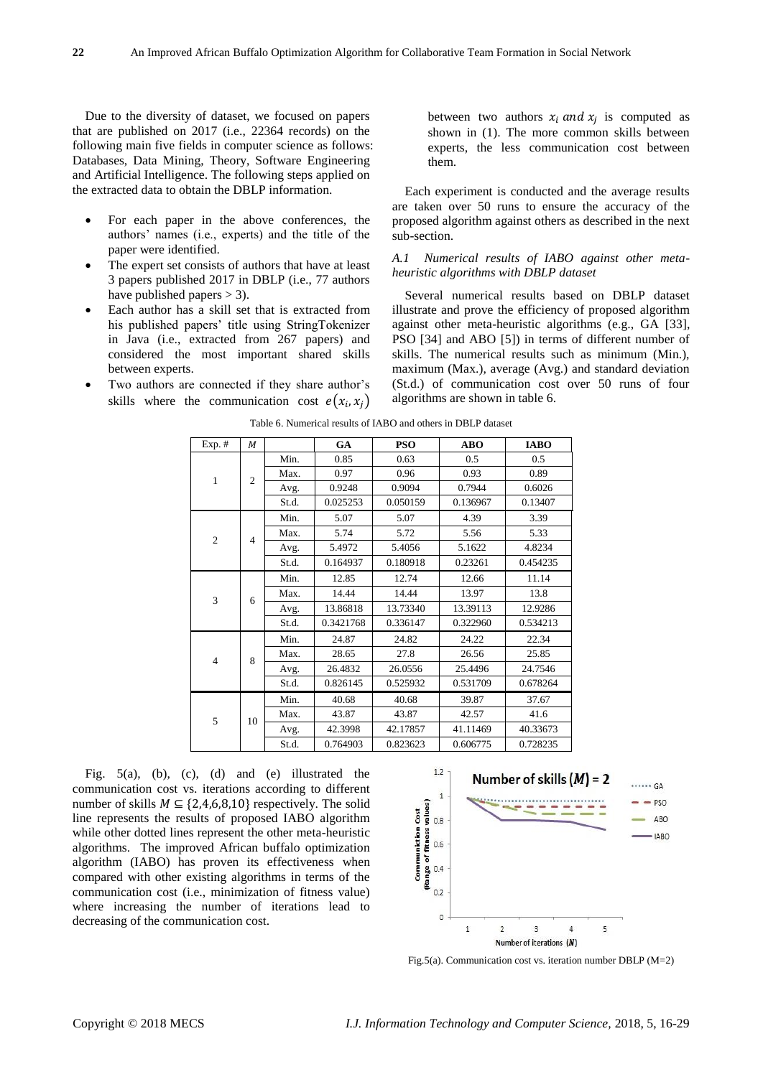Due to the diversity of dataset, we focused on papers that are published on 2017 (i.e., 22364 records) on the following main five fields in computer science as follows: Databases, Data Mining, Theory, Software Engineering and Artificial Intelligence. The following steps applied on the extracted data to obtain the DBLP information.

- For each paper in the above conferences, the authors' names (i.e., experts) and the title of the paper were identified.
- The expert set consists of authors that have at least 3 papers published 2017 in DBLP (i.e., 77 authors have published papers  $>$  3).
- Each author has a skill set that is extracted from his published papers' title using StringTokenizer in Java (i.e., extracted from 267 papers) and considered the most important shared skills between experts.
- Two authors are connected if they share author's skills where the communication cost  $e(x_i, x_j)$

between two authors  $x_i$  and  $x_j$  is computed as shown in (1). The more common skills between experts, the less communication cost between them.

Each experiment is conducted and the average results are taken over 50 runs to ensure the accuracy of the proposed algorithm against others as described in the next sub-section.

# *A.1 Numerical results of IABO against other metaheuristic algorithms with DBLP dataset*

Several numerical results based on DBLP dataset illustrate and prove the efficiency of proposed algorithm against other meta-heuristic algorithms (e.g., GA [33], PSO [34] and ABO [5]) in terms of different number of skills. The numerical results such as minimum (Min.), maximum (Max.), average (Avg.) and standard deviation (St.d.) of communication cost over 50 runs of four algorithms are shown in table 6.

| Exp. #         | М              |       | GA        | <b>PSO</b> | <b>ABO</b> | <b>IABO</b> |
|----------------|----------------|-------|-----------|------------|------------|-------------|
| $\mathbf{1}$   |                | Min.  | 0.85      | 0.63       | 0.5        | 0.5         |
|                | $\overline{2}$ | Max.  | 0.97      | 0.96       | 0.93       | 0.89        |
|                |                | Avg.  | 0.9248    | 0.9094     | 0.7944     | 0.6026      |
|                |                | St.d. | 0.025253  | 0.050159   | 0.136967   | 0.13407     |
|                |                | Min.  | 5.07      | 5.07       | 4.39       | 3.39        |
| $\mathfrak{2}$ | $\overline{4}$ | Max.  | 5.74      | 5.72       | 5.56       | 5.33        |
|                |                | Avg.  | 5.4972    | 5.4056     | 5.1622     | 4.8234      |
|                |                | St.d. | 0.164937  | 0.180918   | 0.23261    | 0.454235    |
|                |                | Min.  | 12.85     | 12.74      | 12.66      | 11.14       |
|                | 6              | Max.  | 14.44     | 14.44      | 13.97      | 13.8        |
| 3              |                | Avg.  | 13.86818  | 13.73340   | 13.39113   | 12.9286     |
|                |                | St.d. | 0.3421768 | 0.336147   | 0.322960   | 0.534213    |
|                |                | Min.  | 24.87     | 24.82      | 24.22      | 22.34       |
| $\overline{4}$ | 8              | Max.  | 28.65     | 27.8       | 26.56      | 25.85       |
|                |                | Avg.  | 26.4832   | 26.0556    | 25.4496    | 24.7546     |
|                |                | St.d. | 0.826145  | 0.525932   | 0.531709   | 0.678264    |
|                |                | Min.  | 40.68     | 40.68      | 39.87      | 37.67       |
| 5              | 10             | Max.  | 43.87     | 43.87      | 42.57      | 41.6        |
|                |                | Avg.  | 42.3998   | 42.17857   | 41.11469   | 40.33673    |
|                |                | St.d. | 0.764903  | 0.823623   | 0.606775   | 0.728235    |

Table 6. Numerical results of IABO and others in DBLP dataset

Fig. 5(a), (b), (c), (d) and (e) illustrated the communication cost vs. iterations according to different number of skills  $M \subseteq \{2,4,6,8,10\}$  respectively. The solid line represents the results of proposed IABO algorithm while other dotted lines represent the other meta-heuristic algorithms. The improved African buffalo optimization algorithm (IABO) has proven its effectiveness when compared with other existing algorithms in terms of the communication cost (i.e., minimization of fitness value) where increasing the number of iterations lead to decreasing of the communication cost.



Fig.5(a). Communication cost vs. iteration number DBLP (M=2)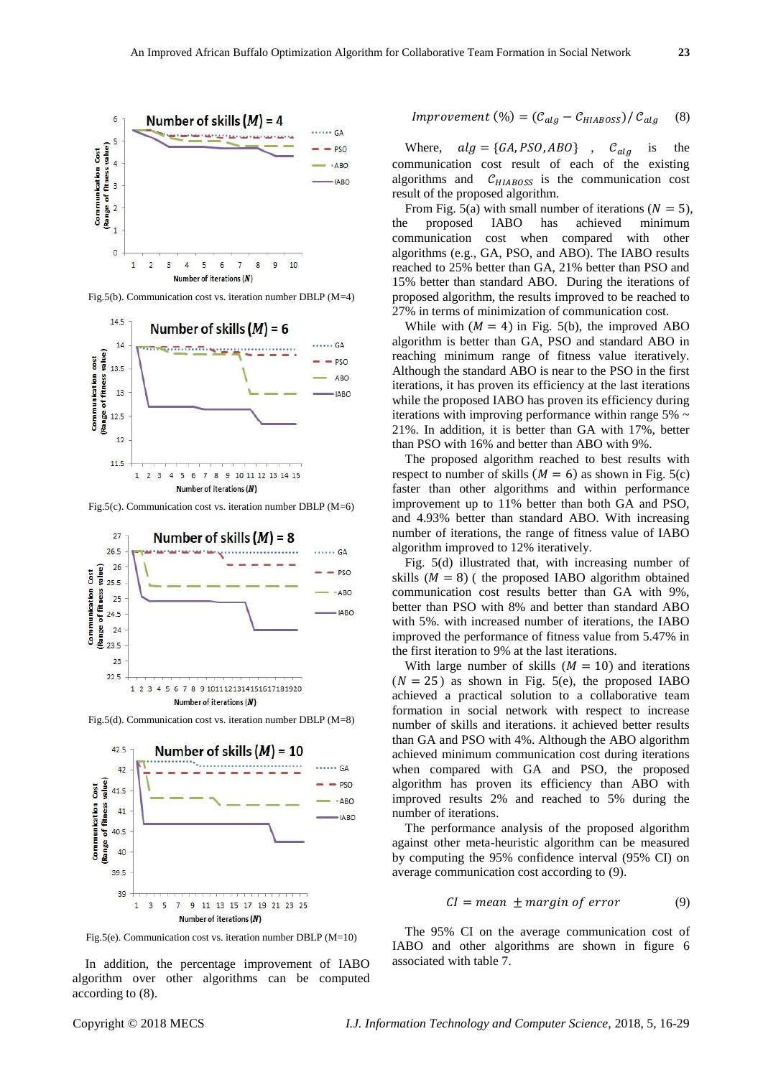

Fig.5(b). Communication cost vs. iteration number DBLP (M=4)



Fig.5(c). Communication cost vs. iteration number DBLP (M=6)



Fig.5(d). Communication cost vs. iteration number DBLP (M=8)



Fig.5(e). Communication cost vs. iteration number DBLP (M=10)

In addition, the percentage improvement of IABO algorithm over other algorithms can be computed according to (8).

$$
Improvement (%) = (C_{alg} - C_{HIABOSS}) / C_{alg} \quad (8)
$$

Where,  $alg = \{GA, PSO, ABO\}$ ,  $C_{alg}$  is the communication cost result of each of the existing algorithms and  $C_{HIABOSS}$  is the communication cost result of the proposed algorithm.

From Fig. 5(a) with small number of iterations ( $N = 5$ ), the proposed IABO has achieved minimum communication cost when compared with other algorithms (e.g., GA, PSO, and ABO). The IABO results reached to 25% better than GA, 21% better than PSO and 15% better than standard ABO. During the iterations of proposed algorithm, the results improved to be reached to 27% in terms of minimization of communication cost.

While with  $(M = 4)$  in Fig. 5(b), the improved ABO algorithm is better than GA, PSO and standard ABO in reaching minimum range of fitness value iteratively. Although the standard ABO is near to the PSO in the first iterations, it has proven its efficiency at the last iterations while the proposed IABO has proven its efficiency during iterations with improving performance within range  $5\%$ 21%. In addition, it is better than GA with 17%, better than PSO with 16% and better than ABO with 9%.

The proposed algorithm reached to best results with respect to number of skills  $(M = 6)$  as shown in Fig. 5(c) faster than other algorithms and within performance improvement up to 11% better than both GA and PSO, and 4.93% better than standard ABO. With increasing number of iterations, the range of fitness value of IABO algorithm improved to 12% iteratively.

Fig. 5(d) illustrated that, with increasing number of skills  $(M = 8)$  (the proposed IABO algorithm obtained communication cost results better than GA with 9%, better than PSO with 8% and better than standard ABO with 5%. with increased number of iterations, the IABO improved the performance of fitness value from 5.47% in the first iteration to 9% at the last iterations.

With large number of skills  $(M = 10)$  and iterations  $(N = 25)$  as shown in Fig. 5(e), the proposed IABO achieved a practical solution to a collaborative team formation in social network with respect to increase number of skills and iterations. it achieved better results than GA and PSO with 4%. Although the ABO algorithm achieved minimum communication cost during iterations when compared with GA and PSO, the proposed algorithm has proven its efficiency than ABO with improved results 2% and reached to 5% during the number of iterations.

The performance analysis of the proposed algorithm against other meta-heuristic algorithm can be measured by computing the 95% confidence interval (95% CI) on average communication cost according to (9).

$$
CI = mean \pm margin \ of \ error \tag{9}
$$

The 95% CI on the average communication cost of IABO and other algorithms are shown in figure 6 associated with table 7.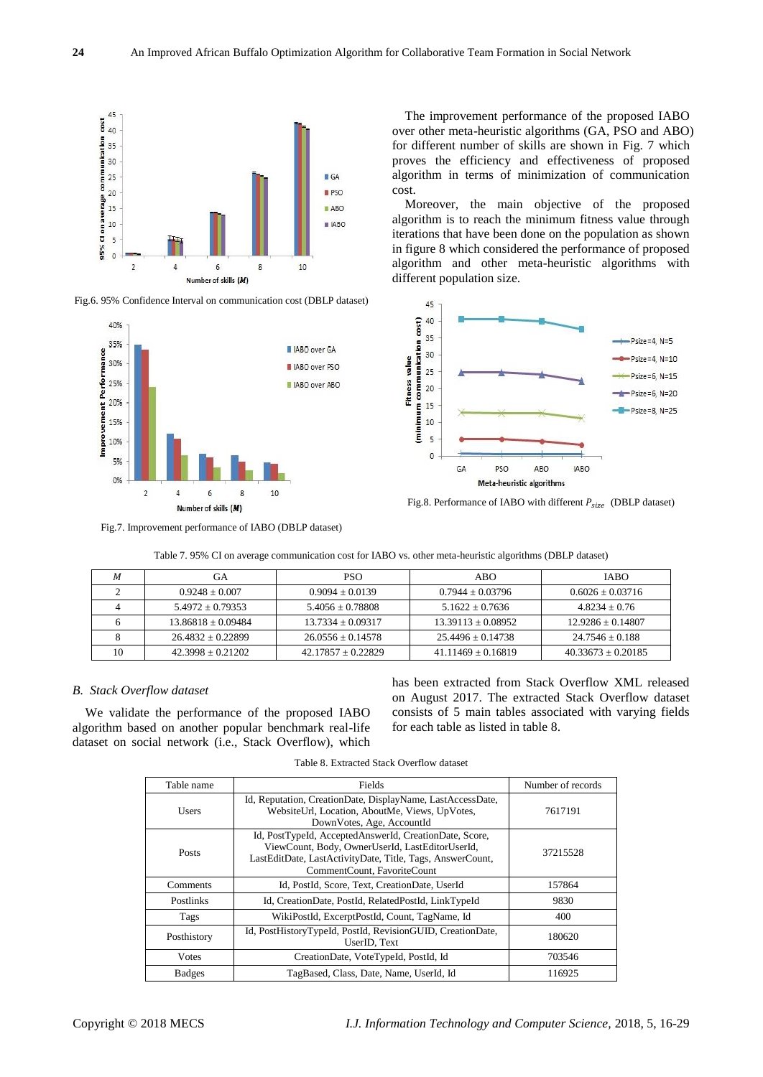

Fig.6. 95% Confidence Interval on communication cost (DBLP dataset)



The improvement performance of the proposed IABO over other meta-heuristic algorithms (GA, PSO and ABO) for different number of skills are shown in Fig. 7 which proves the efficiency and effectiveness of proposed algorithm in terms of minimization of communication cost.

Moreover, the main objective of the proposed algorithm is to reach the minimum fitness value through iterations that have been done on the population as shown in figure 8 which considered the performance of proposed algorithm and other meta-heuristic algorithms with different population size.



Fig.8. Performance of IABO with different  $P_{size}$  (DBLP dataset)

Fig.7. Improvement performance of IABO (DBLP dataset)

Table 7. 95% CI on average communication cost for IABO vs. other meta-heuristic algorithms (DBLP dataset)

| М  | GА                     | <b>PSO</b>            | ABO                  | <b>IABO</b>            |
|----|------------------------|-----------------------|----------------------|------------------------|
|    | $0.9248 + 0.007$       | $0.9094 \pm 0.0139$   | $0.7944 \pm 0.03796$ | $0.6026 \pm 0.03716$   |
|    | $5.4972 + 0.79353$     | $5.4056 + 0.78808$    | $5.1622 + 0.7636$    | $4.8234 + 0.76$        |
|    | $13.86818 \pm 0.09484$ | $13.7334 + 0.09317$   | $13.39113 + 0.08952$ | $12.9286 + 0.14807$    |
|    | $26.4832 + 0.22899$    | $26.0556 \pm 0.14578$ | $25.4496 + 0.14738$  | $24.7546 + 0.188$      |
| 10 | $42.3998 \pm 0.21202$  | $42.17857 + 0.22829$  | $41.11469 + 0.16819$ | $40.33673 \pm 0.20185$ |

## *B. Stack Overflow dataset*

We validate the performance of the proposed IABO algorithm based on another popular benchmark real-life dataset on social network (i.e., Stack Overflow), which

has been extracted from Stack Overflow XML released on August 2017. The extracted Stack Overflow dataset consists of 5 main tables associated with varying fields for each table as listed in table 8.

Table 8. Extracted Stack Overflow dataset

| Table name    | Fields                                                                                                                                                                                                | Number of records |
|---------------|-------------------------------------------------------------------------------------------------------------------------------------------------------------------------------------------------------|-------------------|
| Users         | Id, Reputation, CreationDate, DisplayName, LastAccessDate,<br>WebsiteUrl, Location, AboutMe, Views, UpVotes,<br>DownVotes, Age, AccountId                                                             | 7617191           |
| <b>Posts</b>  | Id, PostTypeId, AcceptedAnswerId, CreationDate, Score,<br>ViewCount, Body, OwnerUserId, LastEditorUserId,<br>LastEditDate, LastActivityDate, Title, Tags, AnswerCount,<br>CommentCount, FavoriteCount | 37215528          |
| Comments      | Id, PostId, Score, Text, CreationDate, UserId                                                                                                                                                         | 157864            |
| Postlinks     | Id, CreationDate, PostId, RelatedPostId, LinkTypeId                                                                                                                                                   | 9830              |
| Tags          | WikiPostId, ExcerptPostId, Count, TagName, Id                                                                                                                                                         | 400               |
| Posthistory   | Id, PostHistoryTypeId, PostId, RevisionGUID, CreationDate,<br>UserID. Text                                                                                                                            | 180620            |
| <b>V</b> otes | CreationDate, VoteTypeId, PostId, Id                                                                                                                                                                  | 703546            |
| <b>Badges</b> | TagBased, Class, Date, Name, UserId, Id                                                                                                                                                               | 116925            |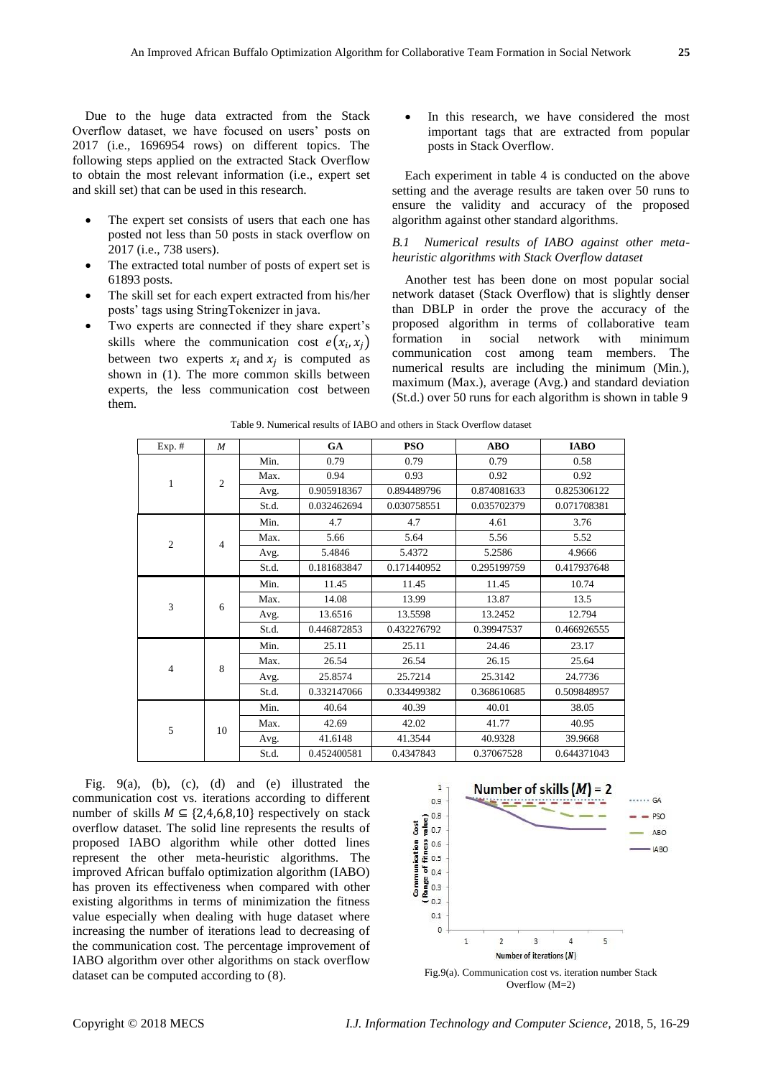Due to the huge data extracted from the Stack Overflow dataset, we have focused on users' posts on 2017 (i.e., 1696954 rows) on different topics. The following steps applied on the extracted Stack Overflow to obtain the most relevant information (i.e., expert set and skill set) that can be used in this research.

- The expert set consists of users that each one has posted not less than 50 posts in stack overflow on 2017 (i.e., 738 users).
- The extracted total number of posts of expert set is 61893 posts.
- The skill set for each expert extracted from his/her posts' tags using StringTokenizer in java.
- Two experts are connected if they share expert's skills where the communication cost  $e(x_i, x_j)$ between two experts  $x_i$  and  $x_j$  is computed as shown in (1). The more common skills between experts, the less communication cost between them.

 In this research, we have considered the most important tags that are extracted from popular posts in Stack Overflow.

Each experiment in table 4 is conducted on the above setting and the average results are taken over 50 runs to ensure the validity and accuracy of the proposed algorithm against other standard algorithms.

# *B.1 Numerical results of IABO against other metaheuristic algorithms with Stack Overflow dataset*

Another test has been done on most popular social network dataset (Stack Overflow) that is slightly denser than DBLP in order the prove the accuracy of the proposed algorithm in terms of collaborative team formation in social network with minimum communication cost among team members. The numerical results are including the minimum (Min.), maximum (Max.), average (Avg.) and standard deviation (St.d.) over 50 runs for each algorithm is shown in table 9

| $Exp.$ #       | M              |       | GA          | <b>PSO</b>  | <b>ABO</b>  | <b>IABO</b> |
|----------------|----------------|-------|-------------|-------------|-------------|-------------|
| $\mathbf{1}$   | $\overline{c}$ | Min.  | 0.79        | 0.79        | 0.79        | 0.58        |
|                |                | Max.  | 0.94        | 0.93        | 0.92        | 0.92        |
|                |                | Avg.  | 0.905918367 | 0.894489796 | 0.874081633 | 0.825306122 |
|                |                | St.d. | 0.032462694 | 0.030758551 | 0.035702379 | 0.071708381 |
| $\overline{2}$ | $\overline{4}$ | Min.  | 4.7         | 4.7         | 4.61        | 3.76        |
|                |                | Max.  | 5.66        | 5.64        | 5.56        | 5.52        |
|                |                | Avg.  | 5.4846      | 5.4372      | 5.2586      | 4.9666      |
|                |                | St.d. | 0.181683847 | 0.171440952 | 0.295199759 | 0.417937648 |
| 3              | 6              | Min.  | 11.45       | 11.45       | 11.45       | 10.74       |
|                |                | Max.  | 14.08       | 13.99       | 13.87       | 13.5        |
|                |                | Avg.  | 13.6516     | 13.5598     | 13.2452     | 12.794      |
|                |                | St.d. | 0.446872853 | 0.432276792 | 0.39947537  | 0.466926555 |
| $\overline{4}$ | 8              | Min.  | 25.11       | 25.11       | 24.46       | 23.17       |
|                |                | Max.  | 26.54       | 26.54       | 26.15       | 25.64       |
|                |                | Avg.  | 25.8574     | 25.7214     | 25.3142     | 24.7736     |
|                |                | St.d. | 0.332147066 | 0.334499382 | 0.368610685 | 0.509848957 |
| 5              | 10             | Min.  | 40.64       | 40.39       | 40.01       | 38.05       |
|                |                | Max.  | 42.69       | 42.02       | 41.77       | 40.95       |
|                |                | Avg.  | 41.6148     | 41.3544     | 40.9328     | 39.9668     |
|                |                | St.d. | 0.452400581 | 0.4347843   | 0.37067528  | 0.644371043 |

Table 9. Numerical results of IABO and others in Stack Overflow dataset

Fig. 9(a), (b), (c), (d) and (e) illustrated the communication cost vs. iterations according to different number of skills  $M \subseteq \{2,4,6,8,10\}$  respectively on stack overflow dataset. The solid line represents the results of proposed IABO algorithm while other dotted lines represent the other meta-heuristic algorithms. The improved African buffalo optimization algorithm (IABO) has proven its effectiveness when compared with other existing algorithms in terms of minimization the fitness value especially when dealing with huge dataset where increasing the number of iterations lead to decreasing of the communication cost. The percentage improvement of IABO algorithm over other algorithms on stack overflow dataset can be computed according to (8). Fig.9(a). Communication cost vs. iteration number Stack



Overflow (M=2)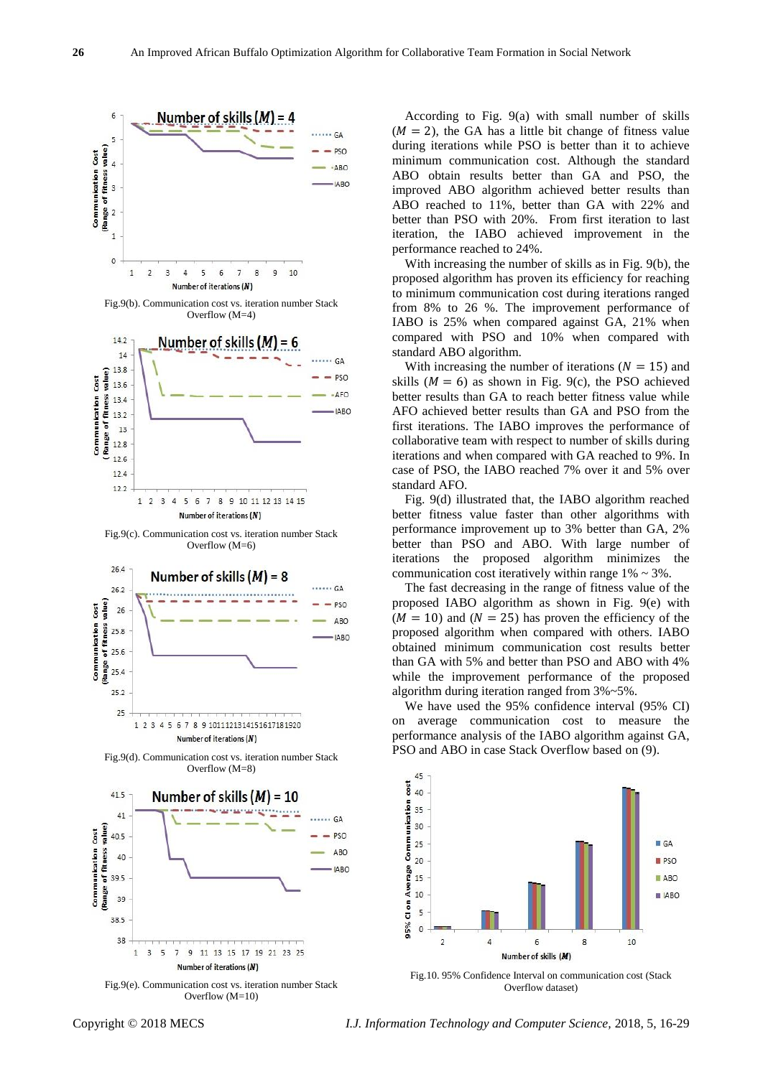

Fig.9(b). Communication cost vs. iteration number Stack Overflow (M=4)



Fig.9(c). Communication cost vs. iteration number Stack Overflow (M=6)









According to Fig. 9(a) with small number of skills  $(M = 2)$ , the GA has a little bit change of fitness value during iterations while PSO is better than it to achieve minimum communication cost. Although the standard ABO obtain results better than GA and PSO, the improved ABO algorithm achieved better results than ABO reached to 11%, better than GA with 22% and better than PSO with 20%. From first iteration to last iteration, the IABO achieved improvement in the performance reached to 24%.

With increasing the number of skills as in Fig. 9(b), the proposed algorithm has proven its efficiency for reaching to minimum communication cost during iterations ranged from 8% to 26 %. The improvement performance of IABO is 25% when compared against GA, 21% when compared with PSO and 10% when compared with standard ABO algorithm.

With increasing the number of iterations ( $N = 15$ ) and skills ( $M = 6$ ) as shown in Fig. 9(c), the PSO achieved better results than GA to reach better fitness value while AFO achieved better results than GA and PSO from the first iterations. The IABO improves the performance of collaborative team with respect to number of skills during iterations and when compared with GA reached to 9%. In case of PSO, the IABO reached 7% over it and 5% over standard AFO.

Fig. 9(d) illustrated that, the IABO algorithm reached better fitness value faster than other algorithms with performance improvement up to 3% better than GA, 2% better than PSO and ABO. With large number of iterations the proposed algorithm minimizes the communication cost iteratively within range  $1\% \sim 3\%$ .

The fast decreasing in the range of fitness value of the proposed IABO algorithm as shown in Fig. 9(e) with  $(M = 10)$  and  $(N = 25)$  has proven the efficiency of the proposed algorithm when compared with others. IABO obtained minimum communication cost results better than GA with 5% and better than PSO and ABO with 4% while the improvement performance of the proposed algorithm during iteration ranged from 3%~5%.

We have used the 95% confidence interval (95% CI) on average communication cost to measure the performance analysis of the IABO algorithm against GA, PSO and ABO in case Stack Overflow based on (9).



Fig.10. 95% Confidence Interval on communication cost (Stack Overflow dataset)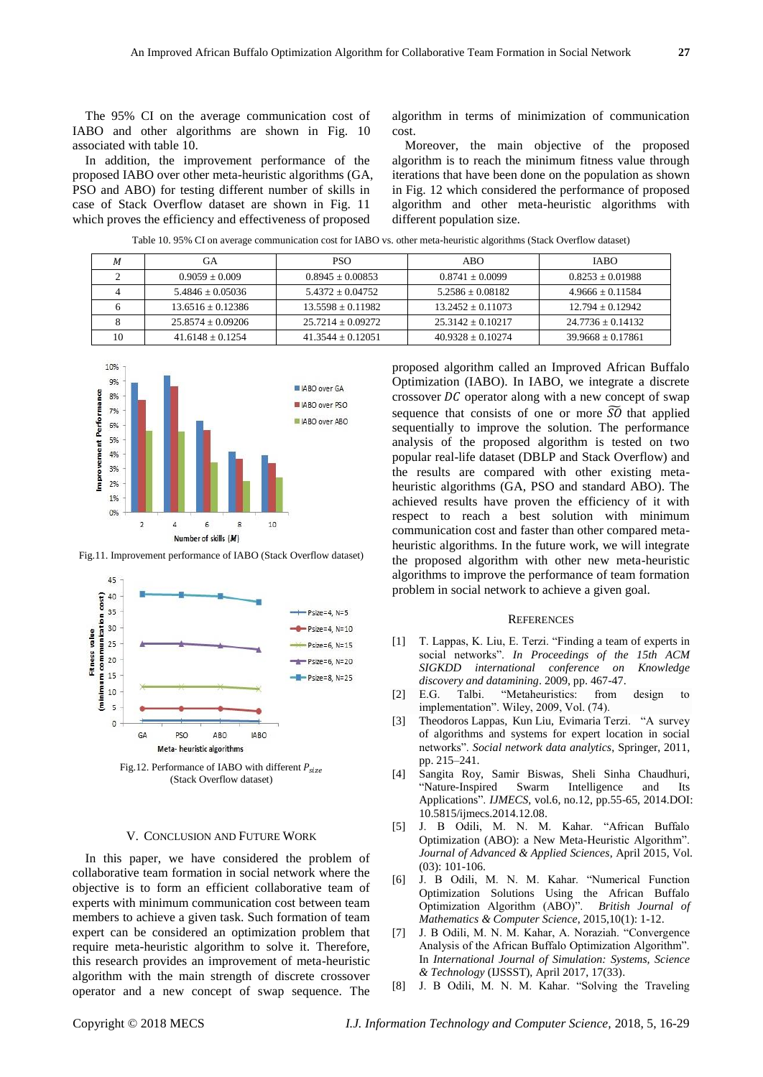The 95% CI on the average communication cost of IABO and other algorithms are shown in Fig. 10 associated with table 10.

In addition, the improvement performance of the proposed IABO over other meta-heuristic algorithms (GA, PSO and ABO) for testing different number of skills in case of Stack Overflow dataset are shown in Fig. 11 which proves the efficiency and effectiveness of proposed

algorithm in terms of minimization of communication cost.

Moreover, the main objective of the proposed algorithm is to reach the minimum fitness value through iterations that have been done on the population as shown in Fig. 12 which considered the performance of proposed algorithm and other meta-heuristic algorithms with different population size.

Table 10. 95% CI on average communication cost for IABO vs. other meta-heuristic algorithms (Stack Overflow dataset)

| M  | GА                    | <b>PSO</b>          | ABO                 | <b>IABO</b>           |
|----|-----------------------|---------------------|---------------------|-----------------------|
|    | $0.9059 + 0.009$      | $0.8945 + 0.00853$  | $0.8741 + 0.0099$   | $0.8253 \pm 0.01988$  |
|    | $5.4846 + 0.05036$    | $5.4372 + 0.04752$  | $5.2586 + 0.08182$  | $4.9666 + 0.11584$    |
|    | $13.6516 + 0.12386$   | $13.5598 + 0.11982$ | $13.2452 + 0.11073$ | $12.794 + 0.12942$    |
|    | $25.8574 \pm 0.09206$ | $25.7214 + 0.09272$ | $25.3142 + 0.10217$ | $24.7736 \pm 0.14132$ |
| 10 | $41.6148 + 0.1254$    | $41.3544 + 0.12051$ | $40.9328 + 0.10274$ | $39.9668 + 0.17861$   |



Fig.11. Improvement performance of IABO (Stack Overflow dataset)



Fig.12. Performance of IABO with different  $P_{size}$ (Stack Overflow dataset)

#### V. CONCLUSION AND FUTURE WORK

In this paper, we have considered the problem of collaborative team formation in social network where the objective is to form an efficient collaborative team of experts with minimum communication cost between team members to achieve a given task. Such formation of team expert can be considered an optimization problem that require meta-heuristic algorithm to solve it. Therefore, this research provides an improvement of meta-heuristic algorithm with the main strength of discrete crossover operator and a new concept of swap sequence. The

proposed algorithm called an Improved African Buffalo Optimization (IABO). In IABO, we integrate a discrete crossover  $DC$  operator along with a new concept of swap sequence that consists of one or more  $\widetilde{SO}$  that applied sequentially to improve the solution. The performance analysis of the proposed algorithm is tested on two popular real-life dataset (DBLP and Stack Overflow) and the results are compared with other existing metaheuristic algorithms (GA, PSO and standard ABO). The achieved results have proven the efficiency of it with respect to reach a best solution with minimum communication cost and faster than other compared metaheuristic algorithms. In the future work, we will integrate the proposed algorithm with other new meta-heuristic algorithms to improve the performance of team formation problem in social network to achieve a given goal.

#### **REFERENCES**

- [1] T. Lappas, K. Liu, E. Terzi. "Finding a team of experts in social networks". *In Proceedings of the 15th ACM SIGKDD international conference on Knowledge discovery and datamining*. 2009, pp. 467-47.
- [2] E.G. Talbi. "Metaheuristics: from design to implementation". Wiley, 2009, Vol. (74).
- [3] Theodoros Lappas, Kun Liu, Evimaria Terzi. "A survey of algorithms and systems for expert location in social networks". *Social network data analytics*, Springer, 2011, pp. 215–241.
- [4] Sangita Roy, Samir Biswas, Sheli Sinha Chaudhuri, "Nature-Inspired Swarm Intelligence and Its Applications". *IJMECS*, vol.6, no.12, pp.55-65, 2014.DOI: 10.5815/ijmecs.2014.12.08.
- [5] J. B Odili, M. N. M. Kahar. "African Buffalo Optimization (ABO): a New Meta-Heuristic Algorithm". *Journal of Advanced & Applied Sciences*, April 2015, Vol.  $(03)$  101-106
- [6] J. B Odili, M. N. M. Kahar. "Numerical Function Optimization Solutions Using the African Buffalo Optimization Algorithm (ABO)". *British Journal of Mathematics & Computer Science*, 2015,10(1): 1-12.
- [7] J. B Odili, M. N. M. Kahar, A. Noraziah. "Convergence Analysis of the African Buffalo Optimization Algorithm". In *International Journal of Simulation: Systems, Science & Technology* (IJSSST), April 2017, 17(33).
- [8] J. B Odili, M. N. M. Kahar. "Solving the Traveling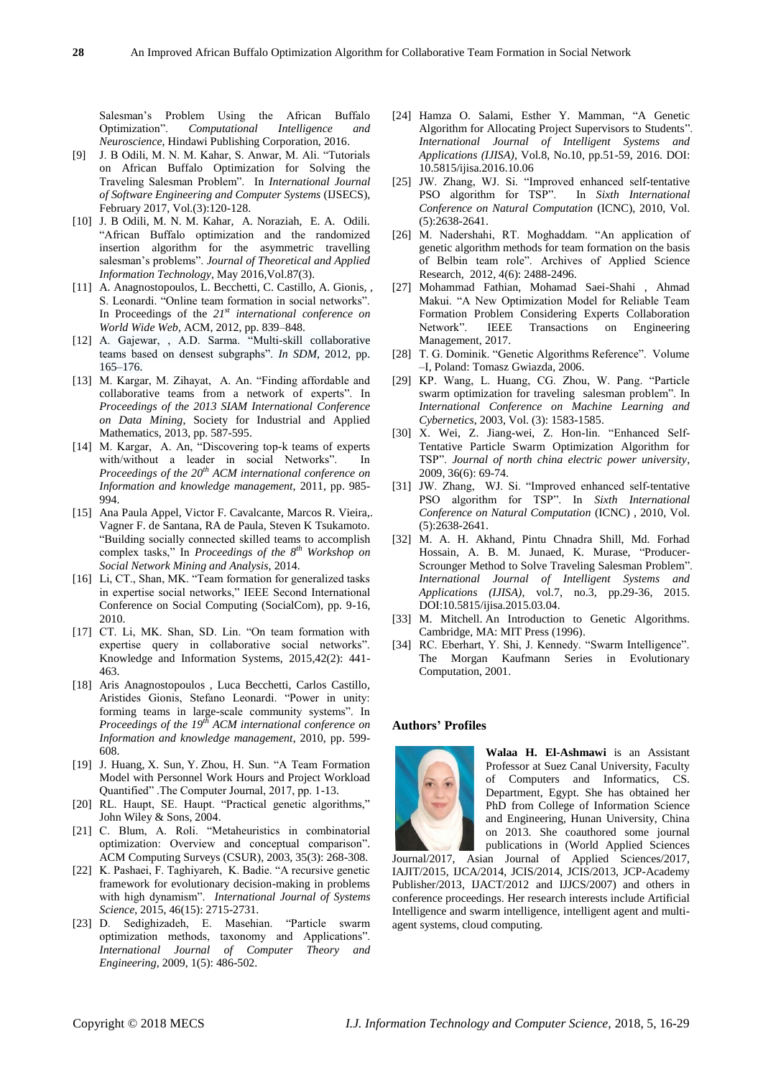Salesman's Problem Using the African Buffalo Optimization". *Computational Intelligence and Neuroscience*, Hindawi Publishing Corporation, 2016.

- [9] J. B Odili, M. N. M. Kahar, S. Anwar, M. Ali. "Tutorials on African Buffalo Optimization for Solving the Traveling Salesman Problem". In *International Journal of Software Engineering and Computer Systems* (IJSECS), February 2017, Vol.(3):120-128.
- [10] J. B Odili, M. N. M. Kahar, A. Noraziah, E. A. Odili. "African Buffalo optimization and the randomized insertion algorithm for the asymmetric travelling salesman's problems". *Journal of Theoretical and Applied Information Technology*, May 2016,Vol.87(3).
- [11] A. Anagnostopoulos, L. Becchetti, C. Castillo, A. Gionis, , S. Leonardi. "Online team formation in social networks". In Proceedings of the *21st international conference on World Wide Web*, ACM, 2012, pp. 839–848.
- [12] A. Gajewar, , A.D. Sarma. "Multi-skill collaborative teams based on densest subgraphs". *In SDM*, 2012, pp. 165–176.
- [13] M. Kargar, M. Zihayat, A. An. "Finding affordable and collaborative teams from a network of experts". In *Proceedings of the 2013 SIAM International Conference on Data Mining*, Society for Industrial and Applied Mathematics, 2013, pp. 587-595.
- [14] M. Kargar, A. An, "Discovering top-k teams of experts with/without a leader in social Networks". In *Proceedings of the 20th ACM international conference on Information and knowledge management,* 2011, pp. 985- 994.
- [15] Ana Paula Appel, Victor F. Cavalcante, Marcos R. Vieira,. Vagner F. de Santana, RA de Paula, Steven K Tsukamoto. "Building socially connected skilled teams to accomplish complex tasks," In *Proceedings of the 8th Workshop on Social Network Mining and Analysis*, 2014.
- [16] Li, CT., Shan, MK. "Team formation for generalized tasks in expertise social networks," IEEE Second International Conference on Social Computing (SocialCom), pp. 9-16, 2010.
- [17] CT. Li, MK. Shan, SD. Lin. "On team formation with expertise query in collaborative social networks". Knowledge and Information Systems, 2015,42(2): 441- 463.
- [18] Aris Anagnostopoulos , Luca Becchetti, Carlos Castillo, Aristides Gionis, Stefano Leonardi. "Power in unity: forming teams in large-scale community systems". In *Proceedings of the 19th ACM international conference on Information and knowledge management*, 2010, pp. 599- 608.
- [19] J. Huang, X. Sun, Y. Zhou, H. Sun. "A Team Formation Model with Personnel Work Hours and Project Workload Quantified" .The Computer Journal, 2017, pp. 1-13.
- [20] RL. Haupt, SE. Haupt. "Practical genetic algorithms," John Wiley & Sons, 2004.
- [21] C. Blum, A. Roli. "Metaheuristics in combinatorial optimization: Overview and conceptual comparison". ACM Computing Surveys (CSUR), 2003, 35(3): 268-308.
- [22] K. Pashaei, F. Taghiyareh, K. Badie. "A recursive genetic framework for evolutionary decision-making in problems with high dynamism". *International Journal of Systems Science*, 2015, 46(15): 2715-2731.
- [23] D. Sedighizadeh, E. Masehian. "Particle swarm optimization methods, taxonomy and Applications". *International Journal of Computer Theory and Engineering*, 2009, 1(5): 486-502.
- [24] Hamza O. Salami, Esther Y. Mamman, "A Genetic Algorithm for Allocating Project Supervisors to Students". *International Journal of Intelligent Systems and Applications (IJISA)*, Vol.8, No.10, pp.51-59, 2016. DOI: 10.5815/ijisa.2016.10.06
- [25] JW. Zhang, WJ. Si. "Improved enhanced self-tentative PSO algorithm for TSP". In *Sixth International Conference on Natural Computation* (ICNC), 2010, Vol. (5):2638-2641.
- [26] M. Nadershahi, RT. Moghaddam. "An application of genetic algorithm methods for team formation on the basis of Belbin team role". Archives of Applied Science Research, 2012, 4(6): 2488-2496.
- [27] Mohammad Fathian, Mohamad Saei-Shahi , Ahmad Makui. "A New Optimization Model for Reliable Team Formation Problem Considering Experts Collaboration<br>Network". IEEE Transactions on Engineering Transactions on Engineering [Management,](http://ieeexplore.ieee.org/xpl/RecentIssue.jsp?punumber=17) 2017.
- [28] T. G. Dominik. "Genetic Algorithms Reference". Volume –I, Poland: Tomasz Gwiazda, 2006.
- [29] KP. Wang, L. Huang, CG. Zhou, W. Pang. "Particle swarm optimization for traveling salesman problem". In *International Conference on Machine Learning and Cybernetics*, 2003, Vol. (3): 1583-1585.
- [30] X. Wei, Z. Jiang-wei, Z. Hon-lin. "Enhanced Self-Tentative Particle Swarm Optimization Algorithm for TSP". *Journal of north china electric power university*, 2009, 36(6): 69-74.
- [31] JW. Zhang, WJ. Si. "Improved enhanced self-tentative PSO algorithm for TSP". In *Sixth International Conference on Natural Computation* (ICNC) , 2010, Vol. (5):2638-2641.
- [32] M. A. H. Akhand, Pintu Chnadra Shill, Md. Forhad Hossain, A. B. M. Junaed, K. Murase, "Producer-Scrounger Method to Solve Traveling Salesman Problem". *International Journal of Intelligent Systems and Applications (IJISA)*, vol.7, no.3, pp.29-36, 2015. DOI:10.5815/ijisa.2015.03.04.
- [33] M. Mitchell. An Introduction to Genetic Algorithms. Cambridge, MA: MIT Press (1996).
- [34] RC. Eberhart, Y. Shi, J. Kennedy. "Swarm Intelligence". The Morgan Kaufmann Series in Evolutionary Computation, 2001.

# **Authors' Profiles**



**Walaa H. El-Ashmawi** is an Assistant Professor at Suez Canal University, Faculty of Computers and Informatics, CS. Department, Egypt. She has obtained her PhD from College of Information Science and Engineering, Hunan University, China on 2013. She coauthored some journal publications in (World Applied Sciences

Journal/2017, Asian Journal of Applied Sciences/2017, IAJIT/2015, IJCA/2014, JCIS/2014, JCIS/2013, JCP-Academy Publisher/2013, IJACT/2012 and IJJCS/2007) and others in conference proceedings. Her research interests include Artificial Intelligence and swarm intelligence, intelligent agent and multiagent systems, cloud computing.